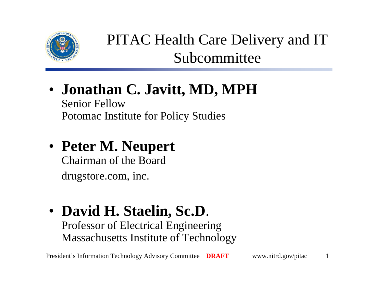

PITAC Health Care Delivery and IT Subcommittee

• **Jonathan C. Javitt, MD, MPH** Senior Fellow

Potomac Institute for Policy Studies

• **Peter M. Neupert**

Chairman of the Board

drugstore.com, inc.

• **David H. Staelin, Sc.D**. Professor of Electrical Engineering Massachusetts Institute of Technology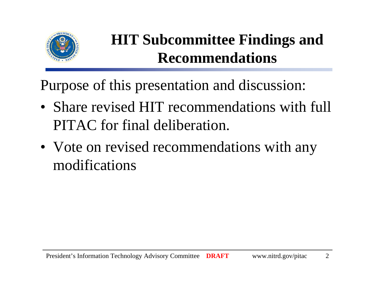

### **HIT Subcommittee Findings and Recommendations**

Purpose of this presentation and discussion:

- Share revised HIT recommendations with full PITAC for final deliberation.
- Vote on revised recommendations with any modifications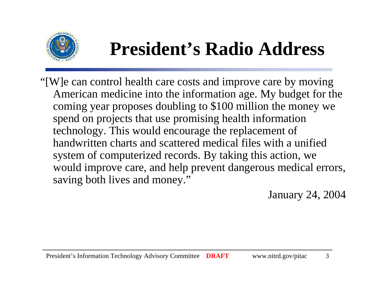

# **President's Radio Address**

"[W]e can control health care costs and improve care by moving American medicine into the information age. My budget for the coming year proposes doubling to \$100 million the money we spend on projects that use promising health information technology. This would encourage the replacement of handwritten charts and scattered medical files with a unified system of computerized records. By taking this action, we would improve care, and help prevent dangerous medical errors, saving both lives and money."

January 24, 2004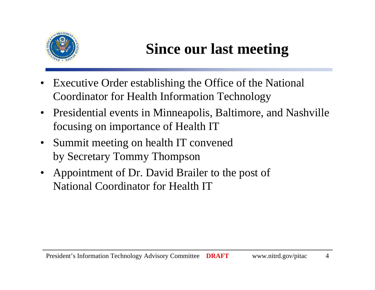

### **Since our last meeting**

- • Executive Order establishing the Office of the National Coordinator for Health Information Technology
- Presidential events in Minneapolis, Baltimore, and Nashville focusing on importance of Health IT
- Summit meeting on health IT convened by Secretary Tommy Thompson
- Appointment of Dr. David Brailer to the post of National Coordinator for Health IT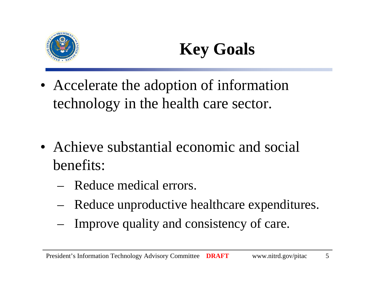



• Accelerate the adoption of information technology in the health care sector.

- Achieve substantial economic and social benefits:
	- Reduce medical errors.
	- Reduce unproductive healthcare expenditures.
	- Improve quality and consistency of care.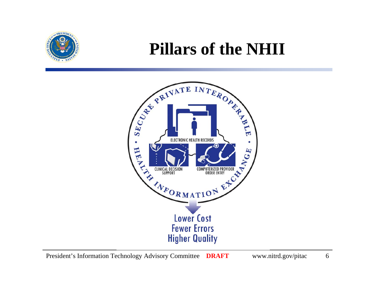

### **Pillars of the NHII**

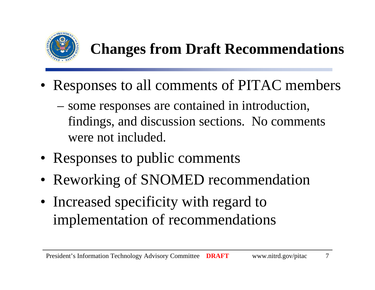

### **Changes from Draft Recommendations**

- Responses to all comments of PITAC members
	- some responses are contained in introduction, findings, and discussion sections. No comments were not included.
- Responses to public comments
- Reworking of SNOMED recommendation
- Increased specificity with regard to implementation of recommendations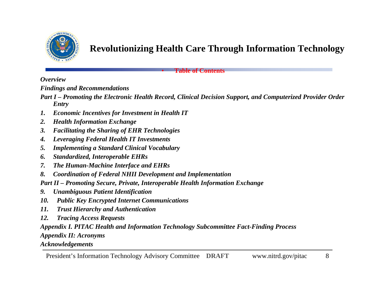

#### **Revolutionizing Health Care Through Information Technology**

**Table of Contents**

*Overview*

*Findings and Recommendations*

- *Part I – Promoting the Electronic Health Record, Clinical Decision Support, and Computerized Provider Order Entry*
- *1.Economic Incentives for Investment in Health IT*
- *2.Health Information Exchange*
- *3.Facilitating the Sharing of EHR Technologies*
- *4.Leveraging Federal Health IT Investments*
- *5.Implementing a Standard Clinical Vocabulary*
- *6.Standardized, Interoperable EHRs*
- *7.The Human-Machine Interface and EHRs*
- *8.Coordination of Federal NHII Development and Implementation*
- *Part II – Promoting Secure, Private, Interoperable Health Information Exchange*

•

- *9.Unambiguous Patient Identification*
- *10. Public Key Encrypted Internet Communications*
- *11. Trust Hierarchy and Authentication*
- *12. Tracing Access Requests*

*Appendix I. PITAC Health and Information Technology Subcommittee Fact-Finding Process Appendix II: Acronyms*

*Acknowledgements*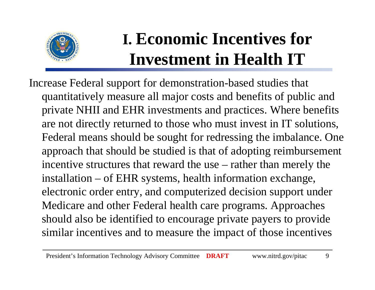

# **I. Economic Incentives for Investment in Health IT**

Increase Federal support for demonstration-based studies that quantitatively measure all major costs and benefits of public and private NHII and EHR investments and practices. Where benefits are not directly returned to those who must invest in IT solutions, Federal means should be sought for redressing the imbalance. One approach that should be studied is that of adopting reimbursement incentive structures that reward the use – rather than merely the installation – of EHR systems, health information exchange, electronic order entry, and computerized decision support under Medicare and other Federal health care programs. Approaches should also be identified to encourage private payers to provide similar incentives and to measure the impact of those incentives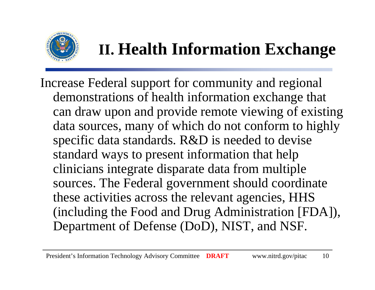

# **II. Health Information Exchange**

Increase Federal support for community and regional demonstrations of health information exchange that can draw upon and provide remote viewing of existing data sources, many of which do not conform to highly specific data standards. R&D is needed to devise standard ways to present information that help clinicians integrate disparate data from multiple sources. The Federal government should coordinate these activities across the relevant agencies, HHS (including the Food and Drug Administration [FDA]), Department of Defense (DoD), NIST, and NSF.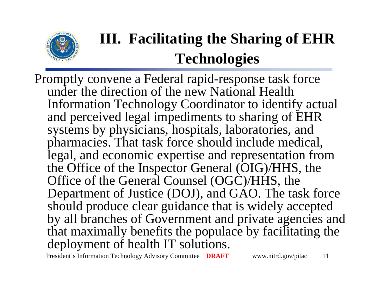

# **III. Facilitating the Sharing of EHR Technologies**

Promptly convene a Federal rapid-response task force under the direction of the new National Health Information Technology Coordinator to identify actual and perceived legal impediments to sharing of EHR systems by physicians, hospitals, laboratories, and pharmacies. That task force should include medical, legal, and economic expertise and representation from the Office of the Inspector General (OIG)/HHS, the Office of the General Counsel (OGC)/HHS, the Department of Justice (DOJ), and GAO. The task force should produce clear guidance that is widely accepted by all branches of Government and private agencies and that maximally benefits the populace by facilitating the deployment of health IT solutions.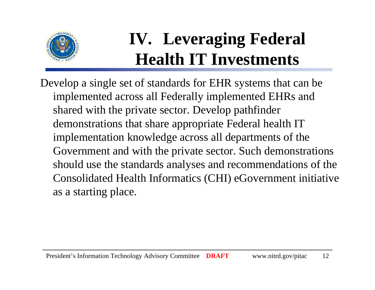

# **IV. Leveraging Federal Health IT Investments**

Develop a single set of standards for EHR systems that can be implemented across all Federally implemented EHRs and shared with the private sector. Develop pathfinder demonstrations that share appropriate Federal health IT implementation knowledge across all departments of the Government and with the private sector. Such demonstrations should use the standards analyses and recommendations of the Consolidated Health Informatics (CHI) eGovernment initiative as a starting place.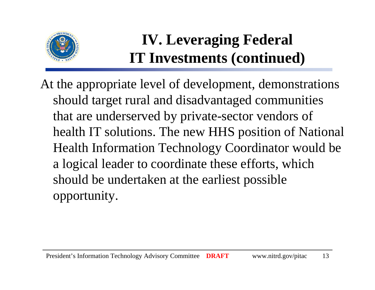

#### **IV. Leveraging Federal IT Investments (continued)**

At the appropriate level of development, demonstrations should target rural and disadvantaged communities that are underserved by private-sector vendors of health IT solutions. The new HHS position of National Health Information Technology Coordinator would be a logical leader to coordinate these efforts, which should be undertaken at the earliest possible opportunity.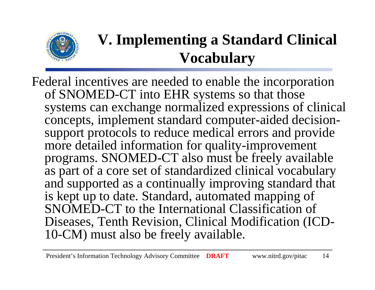

### **V. Implementing a Standard Clinical Vocabulary**

Federal incentives are needed to enable the incorporation of SNOMED-CT into EHR systems so that those systems can exchange normalized expressions of clinical concepts, implement standard computer-aided decisionsupport protocols to reduce medical errors and provide more detailed information for quality-improvement programs. SNOMED-CT also must be freely available as part of a core set of standardized clinical vocabulary and supported as a continually improving standard that is kept up to date. Standard, automated mapping of SNOMED-CT to the International Classification of Diseases, Tenth Revision, Clinical Modification (ICD-10-CM) must also be freely available.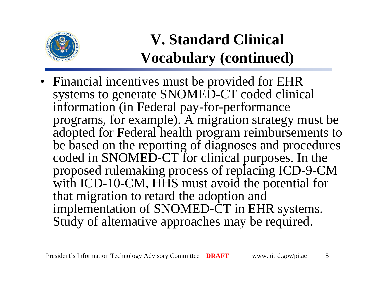

### **V. Standard Clinical Vocabulary (continued)**

• Financial incentives must be provided for EHR systems to generate SNOMED-CT coded clinical information (in Federal pay-for-performance programs, for example). A migration strategy must be adopted for Federal health program reimbursements to be based on the reporting of diagnoses and procedures coded in SNOMED-CT for clinical purposes. In the proposed rulemaking process of replacing ICD-9-CM with ICD-10-CM, HHS must avoid the potential for that migration to retard the adoption and implementation of SNOMED-CT in EHR systems. Study of alternative approaches may be required.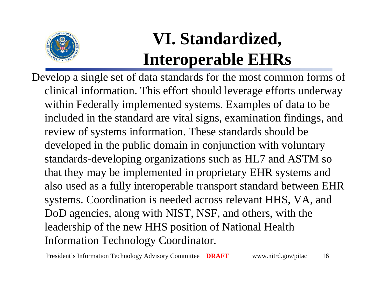

# **VI. Standardized, Interoperable EHRs**

Develop a single set of data standards for the most common forms of clinical information. This effort should leverage efforts underway within Federally implemented systems. Examples of data to be included in the standard are vital signs, examination findings, and review of systems information. These standards should be developed in the public domain in conjunction with voluntary standards-developing organizations such as HL7 and ASTM so that they may be implemented in proprietary EHR systems and also used as a fully interoperable transport standard between EHR systems. Coordination is needed across relevant HHS, VA, and DoD agencies, along with NIST, NSF, and others, with the leadership of the new HHS position of National Health Information Technology Coordinator.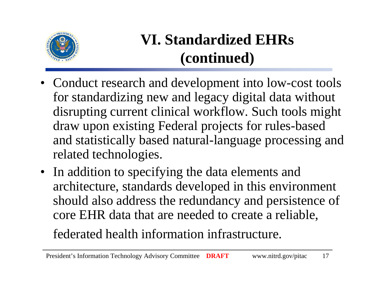

### **VI. Standardized EHRs (continued)**

- Conduct research and development into low-cost tools for standardizing new and legacy digital data without disrupting current clinical workflow. Such tools might draw upon existing Federal projects for rules-based and statistically based natural-language processing and related technologies.
- In addition to specifying the data elements and architecture, standards developed in this environment should also address the redundancy and persistence of core EHR data that are needed to create a reliable,

#### federated health information infrastructure.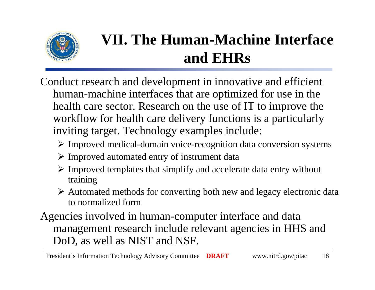

### **VII. The Human-Machine Interface and EHRs**

- Conduct research and development in innovative and efficient human-machine interfaces that are optimized for use in the health care sector. Research on the use of IT to improve the workflow for health care delivery functions is a particularly inviting target. Technology examples include:
	- ¾ Improved medical-domain voice-recognition data conversion systems
	- ¾ Improved automated entry of instrument data
	- $\triangleright$  Improved templates that simplify and accelerate data entry without training
	- ¾ Automated methods for converting both new and legacy electronic data to normalized form
- Agencies involved in human-computer interface and data management research include relevant agencies in HHS and DoD, as well as NIST and NSF.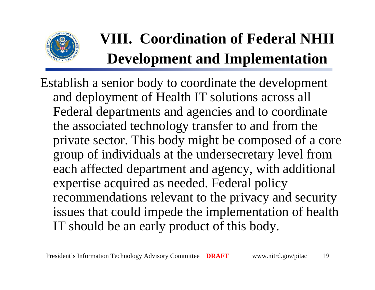

# **VIII. Coordination of Federal NHII Development and Implementation**

Establish a senior body to coordinate the development and deployment of Health IT solutions across all Federal departments and agencies and to coordinate the associated technology transfer to and from the private sector. This body might be composed of a core group of individuals at the undersecretary level from each affected department and agency, with additional expertise acquired as needed. Federal policy recommendations relevant to the privacy and security issues that could impede the implementation of health IT should be an early product of this body.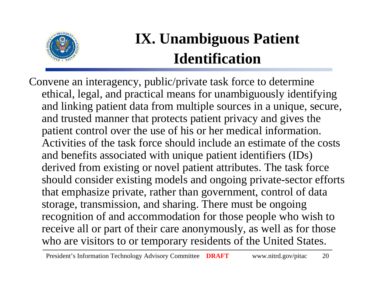

### **IX. Unambiguous Patient Identification**

Convene an interagency, public/private task force to determine ethical, legal, and practical means for unambiguously identifying and linking patient data from multiple sources in a unique, secure, and trusted manner that protects patient privacy and gives the patient control over the use of his or her medical information. Activities of the task force should include an estimate of the costs and benefits associated with unique patient identifiers (IDs) derived from existing or novel patient attributes. The task force should consider existing models and ongoing private-sector efforts that emphasize private, rather than government, control of data storage, transmission, and sharing. There must be ongoing recognition of and accommodation for those people who wish to receive all or part of their care anonymously, as well as for those who are visitors to or temporary residents of the United States.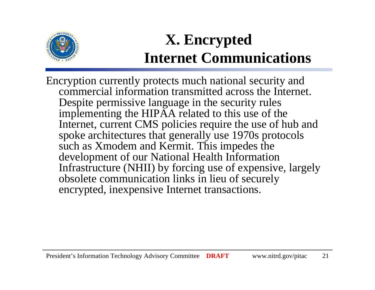

### **X. Encrypted Internet Communications**

Encryption currently protects much national security and commercial information transmitted across the Internet. Despite permissive language in the security rules implementing the HIPAA related to this use of the Internet, current CMS policies require the use of hub and spoke architectures that generally use 1970s protocols such as Xmodem and Kermit. This impedes the development of our National Health Information Infrastructure (NHII) by forcing use of expensive, largely obsolete communication links in lieu of securely encrypted, inexpensive Internet transactions.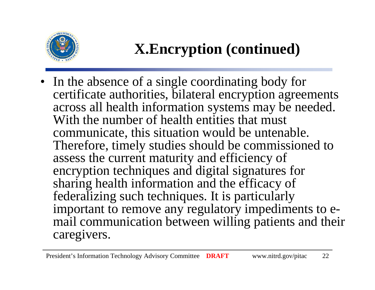

### **X.Encryption (continued)**

• In the absence of a single coordinating body for certificate authorities, bilateral encryption agreements across all health information systems may be needed. With the number of health entities that must communicate, this situation would be untenable. Therefore, timely studies should be commissioned to assess the current maturity and efficiency of encryption techniques and digital signatures for sharing health information and the efficacy of federalizing such techniques. It is particularly important to remove any regulatory impediments to email communication between willing patients and their caregivers.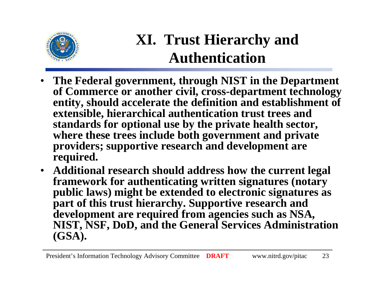

#### **XI. Trust Hierarchy and Authentication**

- • **The Federal government, through NIST in the Department of Commerce or another civil, cross-department technology entity, should accelerate the definition and establishment of extensible, hierarchical authentication trust trees and standards for optional use by the private health sector, where these trees include both government and private providers; supportive research and development are required.**
- **Additional research should address how the current legal framework for authenticating written signatures (notary public laws) might be extended to electronic signatures as part of this trust hierarchy. Supportive research and development are required from agencies such as NSA, NIST, NSF, DoD, and the General Services Administration (GSA).**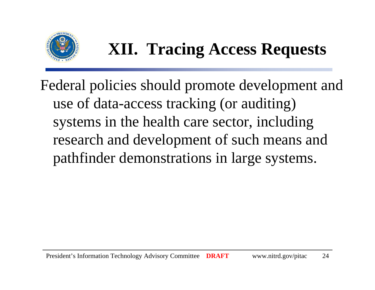

# **XII. Tracing Access Requests**

Federal policies should promote development and use of data-access tracking (or auditing) systems in the health care sector, including research and development of such means and pathfinder demonstrations in large systems.